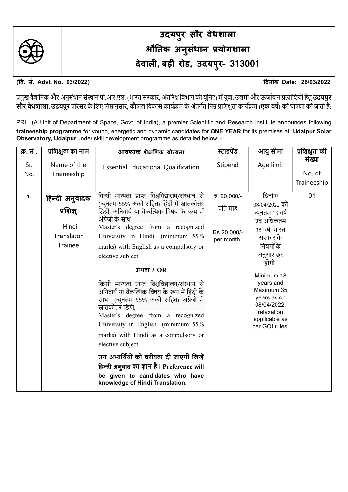

## उदयप ुर सौर वेधशाला भौतिक अनुसंधान प्रयोगशाला देवाली, बड़ी रोड, उदयपुर- 313001

(वि. सं. Advt. No. 03/2022) बिलांक Date: 26/03/2022

प्रमुख वैज्ञानिक और अनुसंधान संस्थान पी.आर.एल. (भारत सरकार, अंतरिक्ष विभाग की यूनिट) में युवा, उद्यमी और ऊर्जावान प्रत्याशियों हेतु **उदयपुर** सौर वेधशाला, उदयपुर परिसर के लिए निम्नानुसार, कौशल विकास कार्यक्रम के अंतर्गत निम्न प्रशिक्षता कार्यक्रम (एक वर्ष) की घोषणा की जाती है:

PRL (A Unit of Department of Space, Govt. of India), a premier Scientific and Research Institute announces following traineeship programme for young, energetic and dynamic candidates for ONE YEAR for its premises at Udaipur Solar Observatory, Udaipur under skill development programme as detailed below: -

| क्र. सं.   | प्रशिक्षुता का नाम                                                   | आवश्यक शैक्षणिक योग्यता                                                                                                                                                                                                                                                                                                                                                                                                                                                                                                                                                                                                                                                                                                                                                                                 | स्टाइपेंड                                              | आयु सीमा                                                                                                                                                                                                                                          | प्रशिक्षुता की                  |
|------------|----------------------------------------------------------------------|---------------------------------------------------------------------------------------------------------------------------------------------------------------------------------------------------------------------------------------------------------------------------------------------------------------------------------------------------------------------------------------------------------------------------------------------------------------------------------------------------------------------------------------------------------------------------------------------------------------------------------------------------------------------------------------------------------------------------------------------------------------------------------------------------------|--------------------------------------------------------|---------------------------------------------------------------------------------------------------------------------------------------------------------------------------------------------------------------------------------------------------|---------------------------------|
| Sr.<br>No. | Name of the<br>Traineeship                                           | <b>Essential Educational Qualification</b>                                                                                                                                                                                                                                                                                                                                                                                                                                                                                                                                                                                                                                                                                                                                                              | Stipend                                                | Age limit                                                                                                                                                                                                                                         | संख्या<br>No. of<br>Traineeship |
| 1.         | हिन्दी अनुवादक<br>प्रशिक्ष्<br>Hindi<br>Translator<br><b>Trainee</b> | किसी मान्यता प्राप्त विश्वविद्यालय/संस्थान से<br>(न्यूनतम 55% अंकों सहित) हिंदी में स्नातकोत्तर<br>डिग्री, अनिवार्य या वैकल्पिक विषय के रूप में<br>अंग्रेजी के साथ<br>Master's degree from a recognized<br>University in Hindi (minimum 55%<br>marks) with English as a compulsory or<br>elective subject.<br>अथवा $/OR$<br>किसी मान्यता प्राप्त विश्वविद्यालय/संस्थान से<br>अनिवार्य या वैकल्पिक विषय के रूप में हिंदी के<br>साथ (न्यूनतम 55% अंकों सहित) अंग्रेजी में<br>स्नातकोत्तर डिग्री.<br>Master's degree from a recognized<br>University in English (minimum 55%<br>marks) with Hindi as a compulsory or<br>elective subject.<br>उन अभ्यर्थियों को वरीयता दी जाएगी जिन्हें<br>हिन्दी अनुवाद का ज्ञान है। Preference will<br>be given to candidates who have<br>knowledge of Hindi Translation. | रु. 20,000/-<br>प्रति माह<br>Rs.20,000/-<br>per month. | दिनांक<br>08/04/2022 को<br>न्यूनतम १८ वर्ष<br>एवं अधिकतम<br>35 वर्ष; भारत<br>सरकार के<br>नियमों के<br>अनुसार छूट<br>होगी।<br>Minimum 18<br>years and<br>Maximum 35<br>years as on<br>08/04/2022,<br>relaxation<br>applicable as<br>per GOI rules. | 01                              |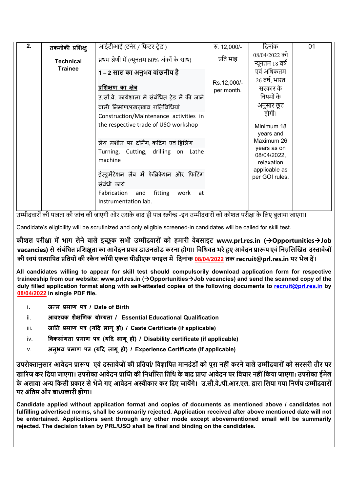| 2. | तकनीकी प्रशिक्ष् | आईटीआई (टर्नर / फिटर टेड)                                                | $\overline{6}$ . 12,000/- | दिनांक                                   | 01 |
|----|------------------|--------------------------------------------------------------------------|---------------------------|------------------------------------------|----|
|    | <b>Technical</b> | प्रथम श्रेणी में (न्यूनतम 60% अंकों के साथ)                              | प्रति माह                 | 08/04/2022 को<br>न्यूनतम १८ वर्ष         |    |
|    | <b>Trainee</b>   | 1 – 2 साल का अनुभव वांछनीय है                                            |                           | एवं अधिकतम<br>$26$ वर्षः भारत            |    |
|    |                  | <u>प्रशिक्षण का क्षेत्र</u>                                              | Rs.12,000/-<br>per month. | सरकार के                                 |    |
|    |                  | उ.सौ.वे. कार्यशाला में संबंधित ट्रेड में की जाने                         |                           | नियमों के                                |    |
|    |                  | वाली निर्माण/रखरखाव गतिविधियां<br>Construction/Maintenance activities in |                           | अनुसार छूट<br>होगी।                      |    |
|    |                  | the respective trade of USO workshop                                     |                           | Minimum 18<br>years and                  |    |
|    |                  | लेथ मशीन पर टर्निंग, कटिंग एवं ड्रिलिंग                                  |                           | Maximum 26                               |    |
|    |                  | Turning, Cutting, drilling on Lathe<br>machine                           |                           | years as on<br>08/04/2022,<br>relaxation |    |
|    |                  | इंस्ड्रमेंटेशन लैब में फेब्रिकेशन और फिटिंग<br>संबंधी कार्य              |                           | applicable as<br>per GOI rules.          |    |
|    |                  | Fabrication and<br>fitting<br>work<br>at<br>Instrumentation lab.         |                           |                                          |    |

उम्मीदवारों की पात्रता की जांच की जाएगी और उसके बाद ही पात्र स्क्रीन्ड -इन उम्मीदवारों को कौशल परीक्षा के लिए बुलाया जाएगा।

Candidate's eligibility will be scrutinized and only eligible screened-in candidates will be called for skill test.

कौशल परीक्षा में भाग लेने वाले इच्छुक सभी उम्मीदवारों को हमारी वेबसाइट www.prl.res.in (->Opportunities->Job vacancies) से संबंधित प्रशिक्षुता का आवेदन प्रपत्र डाउनलोड करना होगा। विधिवत भरे हुए आवेदन प्रारूप एवं निम्नलिखित दस्तावेजों की स्वयं सत्यापित प्रतियों की स्कैन कॉपी एकल पीडीएफ फाइल में दिनांक 08/04/2022 तक recruit@prl.res.in पर भेज दें।

All candidates willing to appear for skill test should compulsorily download application form for respective traineeship from our website: www.prl.res.in  $\Theta$  pportunities $\Theta$  vacancies) and send the scanned copy of the duly filled application format along with self-attested copies of the following documents to recruit@prl.res.in by 08/04/2022 in single PDF file.

- i. जन्म प्रमाण पत्र / Date of Birth
- ii. 3ावश्यक शैक्षणिक योग्यता / Essential Educational Qualification
- iii. जाति प्रमाण पत्र (यदि लागू हो) / Caste Certificate (if applicable)
- iv. विकलांगता प्रमाण पत्र (यदि लागू हो) / Disability certificate (if applicable)
- v. अनुभव प्रमाण पत्र (यदि लागृ हो) / Experience Certificate (if applicable)

उपरोक्तानुसार आवेदन प्रारूप एवं दस्तावेजों की प्रतियां/ विज्ञापित मानदंडों को पूरा नहीं करने वाले उम्मीदवारों को सरसरी तौर पर खारिज कर दिया जाएगा। उपरोक्त आवेदन प्राप्ति की निर्धारित तिथि के बाद प्राप्त आवेदन पर विचार नहीं किया जाएगा। उपरोक्त ईमेल के अलावा अन्य किसी प्रकार से भेजे गए आवेदन अस्वीकार कर दिए जायेंगे। उ.सौ.वे./पी.आर.एल. द्वारा लिया गया निर्णय उम्मीदवारों पर अंितम और बाȯकारी होगा।

Candidate applied without application format and copies of documents as mentioned above / candidates not fulfilling advertised norms, shall be summarily rejected. Application received after above mentioned date will not be entertained. Applications sent through any other mode except abovementioned email will be summarily rejected. The decision taken by PRL/USO shall be final and binding on the candidates.